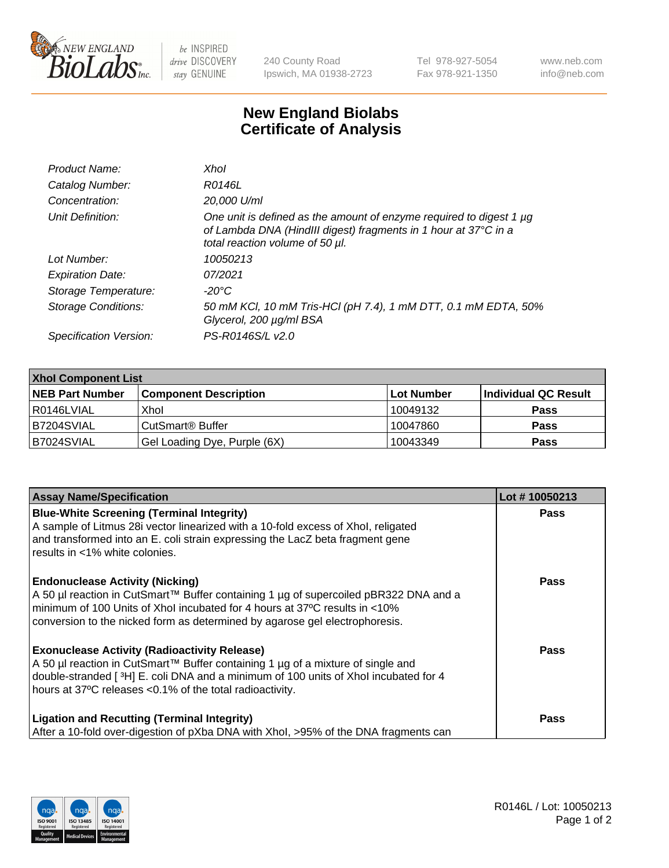

 $be$  INSPIRED drive DISCOVERY stay GENUINE

240 County Road Ipswich, MA 01938-2723 Tel 978-927-5054 Fax 978-921-1350 www.neb.com info@neb.com

## **New England Biolabs Certificate of Analysis**

| Product Name:              | Xhol                                                                                                                                                                      |
|----------------------------|---------------------------------------------------------------------------------------------------------------------------------------------------------------------------|
| Catalog Number:            | R0146L                                                                                                                                                                    |
| Concentration:             | 20,000 U/ml                                                                                                                                                               |
| Unit Definition:           | One unit is defined as the amount of enzyme required to digest 1 µg<br>of Lambda DNA (HindIII digest) fragments in 1 hour at 37°C in a<br>total reaction volume of 50 µl. |
| Lot Number:                | 10050213                                                                                                                                                                  |
| <b>Expiration Date:</b>    | 07/2021                                                                                                                                                                   |
| Storage Temperature:       | -20°C                                                                                                                                                                     |
| <b>Storage Conditions:</b> | 50 mM KCl, 10 mM Tris-HCl (pH 7.4), 1 mM DTT, 0.1 mM EDTA, 50%<br>Glycerol, 200 µg/ml BSA                                                                                 |
| Specification Version:     | PS-R0146S/L v2.0                                                                                                                                                          |

| <b>Xhol Component List</b> |                              |             |                      |  |  |
|----------------------------|------------------------------|-------------|----------------------|--|--|
| <b>NEB Part Number</b>     | <b>Component Description</b> | ∣Lot Number | Individual QC Result |  |  |
| R0146LVIAL                 | Xhol                         | 10049132    | <b>Pass</b>          |  |  |
| B7204SVIAL                 | CutSmart® Buffer             | 10047860    | <b>Pass</b>          |  |  |
| B7024SVIAL                 | Gel Loading Dye, Purple (6X) | 10043349    | <b>Pass</b>          |  |  |

| <b>Assay Name/Specification</b>                                                                                                                                                                                                                                                             | Lot #10050213 |
|---------------------------------------------------------------------------------------------------------------------------------------------------------------------------------------------------------------------------------------------------------------------------------------------|---------------|
| <b>Blue-White Screening (Terminal Integrity)</b><br>A sample of Litmus 28i vector linearized with a 10-fold excess of Xhol, religated<br>and transformed into an E. coli strain expressing the LacZ beta fragment gene                                                                      | <b>Pass</b>   |
| results in <1% white colonies.                                                                                                                                                                                                                                                              |               |
| <b>Endonuclease Activity (Nicking)</b><br>A 50 µl reaction in CutSmart™ Buffer containing 1 µg of supercoiled pBR322 DNA and a<br>minimum of 100 Units of Xhol incubated for 4 hours at 37°C results in <10%<br>conversion to the nicked form as determined by agarose gel electrophoresis. | <b>Pass</b>   |
| <b>Exonuclease Activity (Radioactivity Release)</b><br>A 50 µl reaction in CutSmart™ Buffer containing 1 µg of a mixture of single and<br>double-stranded [3H] E. coli DNA and a minimum of 100 units of Xhol incubated for 4<br>hours at 37°C releases <0.1% of the total radioactivity.   | <b>Pass</b>   |
| <b>Ligation and Recutting (Terminal Integrity)</b><br>After a 10-fold over-digestion of pXba DNA with Xhol, >95% of the DNA fragments can                                                                                                                                                   | <b>Pass</b>   |